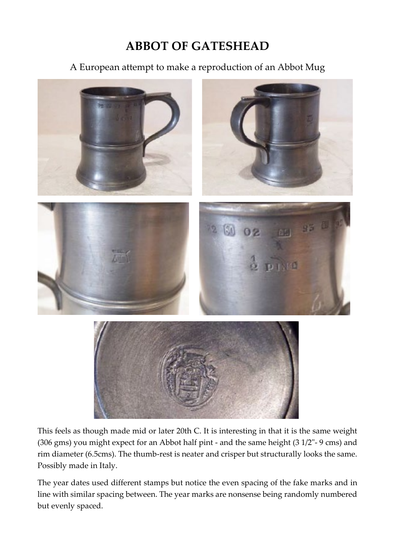## **ABBOT OF GATESHEAD**

A European attempt to make a reproduction of an Abbot Mug



This feels as though made mid or later 20th C. It is interesting in that it is the same weight (306 gms) you might expect for an Abbot half pint - and the same height (3 1/2"- 9 cms) and rim diameter (6.5cms). The thumb-rest is neater and crisper but structurally looks the same. Possibly made in Italy.

The year dates used different stamps but notice the even spacing of the fake marks and in line with similar spacing between. The year marks are nonsense being randomly numbered but evenly spaced.